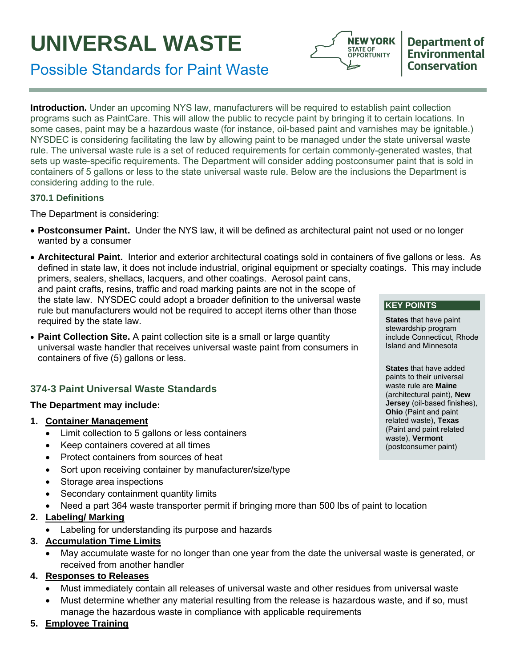# **UNIVERSAL WASTE**





**Introduction.** Under an upcoming NYS law, manufacturers will be required to establish paint collection programs such as PaintCare. This will allow the public to recycle paint by bringing it to certain locations. In some cases, paint may be a hazardous waste (for instance, oil-based paint and varnishes may be ignitable.) NYSDEC is considering facilitating the law by allowing paint to be managed under the state universal waste rule. The universal waste rule is a set of reduced requirements for certain commonly-generated wastes, that sets up waste-specific requirements. The Department will consider adding postconsumer paint that is sold in containers of 5 gallons or less to the state universal waste rule. Below are the inclusions the Department is considering adding to the rule.

#### **370.1 Definitions**

The Department is considering:

- **Postconsumer Paint.** Under the NYS law, it will be defined as architectural paint not used or no longer wanted by a consumer
- **Architectural Paint.** Interior and exterior architectural coatings sold in containers of five gallons or less. As defined in state law, it does not include industrial, original equipment or specialty coatings. This may include primers, sealers, shellacs, lacquers, and other coatings. Aerosol paint cans, and paint crafts, resins, traffic and road marking paints are not in the scope of the state law. NYSDEC could adopt a broader definition to the universal waste rule but manufacturers would not be required to accept items other than those required by the state law. **KEY POINTS**
- **Paint Collection Site.** A paint collection site is a small or large quantity universal waste handler that receives universal waste paint from consumers in containers of five (5) gallons or less.

# **374-3 Paint Universal Waste Standards**

## **The Department may include:**

#### **1. Container Management**

- Limit collection to 5 gallons or less containers
- Keep containers covered at all times
- Protect containers from sources of heat
- Sort upon receiving container by manufacturer/size/type
- Storage area inspections
- Secondary containment quantity limits
- Need a part 364 waste transporter permit if bringing more than 500 lbs of paint to location

## **2. Labeling/ Marking**

- Labeling for understanding its purpose and hazards
- **3. Accumulation Time Limits**
	- May accumulate waste for no longer than one year from the date the universal waste is generated, or received from another handler

## **4. Responses to Releases**

- Must immediately contain all releases of universal waste and other residues from universal waste
- Must determine whether any material resulting from the release is hazardous waste, and if so, must manage the hazardous waste in compliance with applicable requirements

## **5. Employee Training**

**States** that have paint stewardship program include Connecticut, Rhode Island and Minnesota

**States** that have added paints to their universal waste rule are **Maine**  (architectural paint), **New Jersey** (oil-based finishes), **Ohio** (Paint and paint related waste), **Texas** (Paint and paint related waste), **Vermont**  (postconsumer paint)